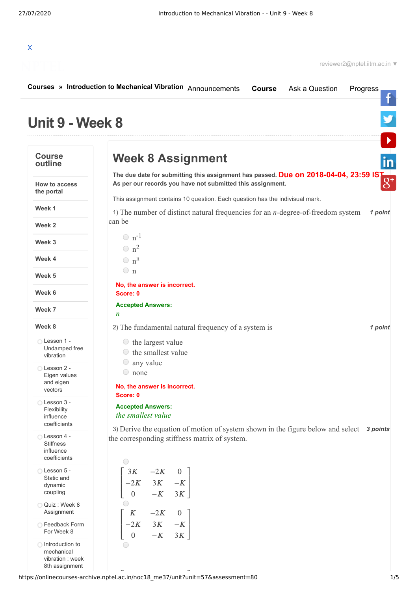

reviewer2@nptel.iitm.ac.in ▼

|                                                             | Courses » Introduction to Mechanical Vibration Announcements<br>Ask a Question<br>Progress<br><b>Course</b>                                                             |
|-------------------------------------------------------------|-------------------------------------------------------------------------------------------------------------------------------------------------------------------------|
| Unit 9 - Week 8                                             |                                                                                                                                                                         |
| <b>Course</b><br>outline                                    | <b>Week 8 Assignment</b>                                                                                                                                                |
| <b>How to access</b><br>the portal                          | The due date for submitting this assignment has passed. Due on 2018-04-04, 23:59 IST As per our records you have not submitted this assignment.                         |
| Week 1                                                      | This assignment contains 10 question. Each question has the indivisual mark.<br>1 point                                                                                 |
| Week 2                                                      | 1) The number of distinct natural frequencies for an $n$ -degree-of-freedom system<br>can be                                                                            |
| Week 3                                                      | $\circ$ n <sup>-1</sup>                                                                                                                                                 |
|                                                             | $\bigcirc$ n <sup>2</sup>                                                                                                                                               |
| Week 4                                                      | $\bigcirc$ n <sup>n</sup>                                                                                                                                               |
| Week 5                                                      | $\circ$ n                                                                                                                                                               |
| Week 6                                                      | No, the answer is incorrect.<br>Score: 0                                                                                                                                |
| Week 7                                                      | <b>Accepted Answers:</b><br>$\boldsymbol{n}$                                                                                                                            |
| Week 8                                                      | 2) The fundamental natural frequency of a system is<br>1 point                                                                                                          |
| ◯ Lesson 1 -<br>Undamped free<br>vibration                  | $\circ$ the largest value<br>$\circ$ the smallest value                                                                                                                 |
| ◯ Lesson 2 -<br>Eigen values<br>and eigen                   | $\circ$ any value<br>$\circ$ none<br>No, the answer is incorrect.                                                                                                       |
| vectors<br>Lesson 3 -                                       | Score: 0                                                                                                                                                                |
| Flexibility<br>influence<br>coefficients                    | <b>Accepted Answers:</b><br>the smallest value                                                                                                                          |
| Lesson 4 -<br><b>Stiffness</b><br>influence<br>coefficients | 3) Derive the equation of motion of system shown in the figure below and select $\alpha$ <i>s</i> points<br>the corresponding stiffness matrix of system.<br>$\bigcirc$ |
| Lesson 5 -<br>Static and<br>dynamic<br>coupling             | $\begin{bmatrix} 3K & -2K & 0 \\ -2K & 3K & -K \\ 0 & -K & 3K \end{bmatrix}$                                                                                            |
| Quiz: Week 8<br>Assignment                                  |                                                                                                                                                                         |
| ◯ Feedback Form<br>For Week 8                               | $\begin{bmatrix} K & -2K & 0 \\ -2K & 3K & -K \\ 0 & -K & 3K \end{bmatrix}$                                                                                             |
| ◯ Introduction to<br>mechanical<br>vibration : week         |                                                                                                                                                                         |

م السياسية بين المستوى للمستوى بين المستوى المستوى المستوى المستوى المستوى المستوى المستوى المستوى المستوى الم<br>1/5 أغريس المستوى المستوى المستوى المستوى المستوى المستوى المستوى المستوى المستوى المستوى المستوى المستوى المس

8th assignment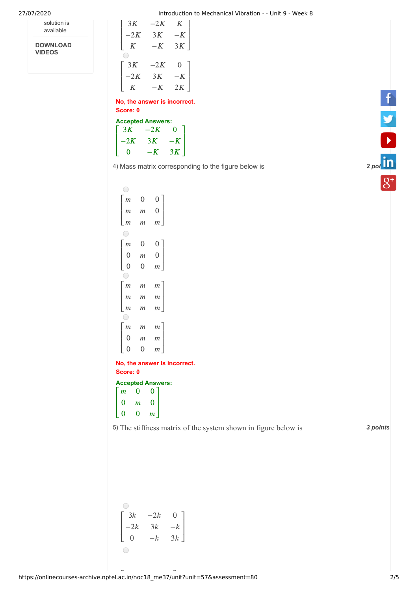27/07/2020 Introduction to Mechanical Vibration - - Unit 9 - Week 8  $lntr$ <br>-2K

| solution is |
|-------------|
| available   |

**DOWNLOAD VIDEOS**

|       | Introduction |      |  |  |  |
|-------|--------------|------|--|--|--|
| 3K    | $-2K$        | K    |  |  |  |
| $-2K$ | 3K           | $-K$ |  |  |  |
| K     | $-K$         | 3K   |  |  |  |
|       |              |      |  |  |  |
| 3K    | $-2K$        | 0    |  |  |  |
| $-2K$ | 3K           | $-K$ |  |  |  |
| K     | $-K$         | 2K   |  |  |  |

| No, the answer is incorrect. |       |      |  |  |  |
|------------------------------|-------|------|--|--|--|
| Score: 0                     |       |      |  |  |  |
| <b>Accepted Answers:</b>     |       |      |  |  |  |
| 3K                           | $-2K$ | 0    |  |  |  |
| $-2K$                        | 3K    | $-K$ |  |  |  |
|                              | $-K$  | 3K   |  |  |  |

4) Mass matrix corresponding to the figure below is **Access 2 and Access 2 [points](https://www.linkedin.com/company/nptel/)** 2 points

| $\left( \quad \right)$ |                |                  |
|------------------------|----------------|------------------|
| m                      | $\overline{0}$ | 0                |
| $\mathfrak{m}$         | $\,m$          | $\overline{0}$   |
| $\mathfrak{m}$         | m              | $\overline{m}$   |
| 0                      |                |                  |
| m                      | $\overline{0}$ | $\boldsymbol{0}$ |
| $\mathbf{0}$           | $\mathfrak{m}$ | $\overline{0}$   |
| $\overline{0}$         | $\theta$       | $\overline{m}$   |
| 0                      |                |                  |
| m                      | m              | $\,m$            |
| $\mathfrak{m}$         | $\,m$          | $\overline{m}$   |
| $\mathfrak{m}$         | $\mathfrak{m}$ | $\mathfrak{m}$   |
| 0                      |                |                  |
| m                      | m              | m                |
| $\boldsymbol{0}$       | m              | m                |
| 0                      | $\overline{0}$ | $\overline{m}$   |
| <b>La Alba</b>         |                |                  |

**No, the answer is incorrect. Score: 0**

## **Accepted Answers:**  $\lceil m \rceil$  $\vert 0 \vert$  $\overline{0}$  $0<sub>1</sub>$ 0  $\blacksquare$

⎣  $\mathsf{I}$ 0  $\boldsymbol{m}$ 0  $m$  $\perp$ 

5) *3 points* The stiffness matrix of the system shown in figure below is

| 3k    | $-2k$ | 0     |
|-------|-------|-------|
| $-2k$ | 3k    | $-k$  |
| 0     | $-k$  | $3k_$ |
|       |       |       |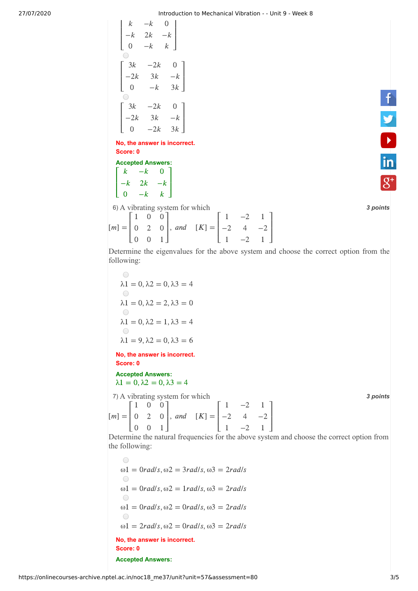27/07/2020 Introduction to Mechanical Vibration - - Unit 9 - Week 8

 $\mathsf{L}$ ⎣  $\mathsf{L}$  $\begin{vmatrix} k \\ -k \end{vmatrix}$  $\overline{k}$ 0  $-k$  $2k$  $-k$ <br>2 $k$ <br>− $k$  $\Omega$  $\frac{1}{2}$ <br>-k  $k \perp$  $\overline{a}$  $\overline{a}$  $\begin{bmatrix}\n k & -k \\
 -2k & 0\n\end{bmatrix}$  $\lceil 3k \rceil$ ⎣  $\begin{bmatrix} 0 \\ 3k \\ -2k \end{bmatrix}$  $\mathsf{L}$ 0  $3k$  $-2k$ <br> $3k$ <br> $-k$ 0  $\begin{bmatrix} 0 \\ -k \end{bmatrix}$  $3k$ ⎤  $\overline{a}$ ⎡ ⎣  $\mathsf{L}$  $\mathsf{L}$  $3k$ 0 -  $k$ <br>
3k - 2k<br>
-2k 3k  $\Omega$  $3k$ <br>- $k$ <br>-2 $k$  $-2k$  0<br>3k -k<br>-2k 3k  $3k$ <br>0<br> $-k$  $3k$ ⎤ ⎦  $\overline{a}$  $\overline{a}$ 

**No, the answer is incorrect. Score: 0** ansv<br>⊦d Aı<br>*−k* 

| owne. v                  |      |      |  |  |  |  |
|--------------------------|------|------|--|--|--|--|
| <b>Accepted Answers:</b> |      |      |  |  |  |  |
| k                        | $-k$ |      |  |  |  |  |
| $-k$                     | 2k   | $-k$ |  |  |  |  |
| O                        | $-k$ | k.   |  |  |  |  |

6) *3 points* A vibrating system for which

| $\begin{bmatrix} 0 & -k & k \end{bmatrix}$ |  |  |                                                                                                                                                               |  |  |
|--------------------------------------------|--|--|---------------------------------------------------------------------------------------------------------------------------------------------------------------|--|--|
|                                            |  |  | 6) A vibrating system for which                                                                                                                               |  |  |
|                                            |  |  |                                                                                                                                                               |  |  |
|                                            |  |  |                                                                                                                                                               |  |  |
|                                            |  |  | $[m] = \begin{bmatrix} 1 & 0 & 0 \\ 0 & 2 & 0 \\ 0 & 0 & 1 \end{bmatrix}$ , and $[K] = \begin{bmatrix} 1 & -2 & 1 \\ -2 & 4 & -2 \\ 1 & -2 & 1 \end{bmatrix}$ |  |  |

f y b in

Determine the eigenvalues for the above system and choose the correct option from the following:

 $\bigcirc$  $\lambda$ 1 = 0,  $\lambda$ 2 = 0,  $\lambda$ 3 = 4  $\bigcirc$  $\lambda$ 1 = 0,  $\lambda$ 2 = 2,  $\lambda$ 3 = 0  $\bigcirc$  $\lambda$ 1 = 0,  $\lambda$ 2 = 1,  $\lambda$ 3 = 4  $\bigcirc$  $\lambda$ 1 = 9,  $\lambda$ 2 = 0,  $\lambda$ 3 = 6

**No, the answer is incorrect. Score: 0**

**Accepted Answers:**  $\lambda$ 1 = 0,  $\lambda$ 2 = 0,  $\lambda$ 3 = 4

7) *3 points* A vibrating system for which

 $[m] = \begin{vmatrix} 0 & 2 & 0 \end{vmatrix}$ , and  $[K] =$ ⎡ ⎣  $\mathsf{I}$  $\mathsf{I}$ 1 0 0 0 2 0 0 0 1 ⎤ ⎦  $\blacksquare$  $\blacksquare$ ⎡ ⎣  $\mathsf{L}$  $\mathsf{L}$ 1  $\frac{1}{-2}$ 1  $-2$ 4  $-2$  1<br>
4  $-2$ <br>  $-2$  1  $\frac{1}{-2}$ 1 ⎤ ⎦  $\overline{a}$  $\overline{a}$ 

Determine the natural frequencies for the above system and choose the correct option from the following:

 $\bigcirc$  $\omega$ 1 = 0*rad/s*,  $\omega$ 2 = 3*rad/s*,  $\omega$ 3 = 2*rad/s*  $\bigcirc$  $\omega_1 = \frac{0 \cdot rad}{s}, \omega_2 = \frac{1 \cdot rad}{s}, \omega_3 = \frac{2 \cdot rad}{s}$  $\bigcirc$  $\omega_1 = \frac{0 \cdot rad}{s}, \omega_2 = \frac{0 \cdot rad}{s}, \omega_3 = \frac{2 \cdot rad}{s}$  $\bigcirc$  $\omega_1 = 2rad/s$ ,  $\omega_2 = 0rad/s$ ,  $\omega_3 = 2rad/s$ **No, the answer is incorrect. Score: 0 Accepted Answers:**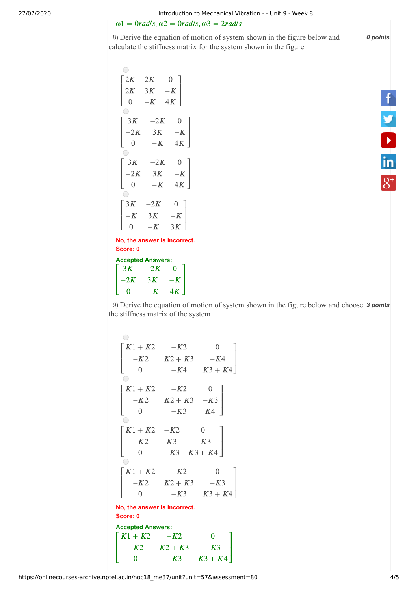$\omega_1 = 0$ rad/s,  $\omega_2 = 0$ rad/s,  $\omega_3 = 2$ rad/s

8) *0 points* Derive the equation of motion of system shown in the figure below and calculate the stiffness matrix for the system shown in the figure

 $\begin{bmatrix} 0 \\ -K \end{bmatrix}$  $\bigcirc$  $\begin{array}{ccc} 2K & 0 \\ 3K & -K \\ -K & 4K \end{array}$  $2K$  $2K$ Γ ⎤  $\mathsf{L}$  $\overline{\phantom{a}}$  $2K$  $3K$  $K \left[\begin{array}{cc} -K \\ K & 4K \end{array}\right]$ <br>-2K 0  $\mathsf{L}$  $4K$ ⎣ 0  $\perp$  $\begin{bmatrix} 0 \\ 3K \\ -2K \end{bmatrix}$ − $K$  $-2K$ <br>3K<br> $-K$  $\begin{bmatrix} 3K & -2K & 0 \end{bmatrix}$  $\mathsf{L}$  $\overline{a}$  $3K$  $\begin{bmatrix} 3K & -K \\ -K & 4K \end{bmatrix}$ <br>-2K 0  $4K$ ⎣ 0  $\begin{bmatrix} 0 \\ 3K \\ -2K \end{bmatrix}$  $4K$ <br>0<br>- K  $-2K$ <br>3K<br> $-K$  $\begin{bmatrix} 3K & -2K & 0 \end{bmatrix}$  $\mathsf{L}$  $\overline{a}$  $3K$  $\begin{bmatrix} 3K & -K \\ -K & 4K \end{bmatrix}$ <br>-2K 0  $4K$ 0 ⎣  $\begin{array}{c}\n0 \\
\bigcirc \\
3K \\
-K\n\end{array}$  $\begin{bmatrix} 0 \\ -K \end{bmatrix}$  $-2K$ <br>3K<br> $-K$  $\sqrt{3K}$  $0$ ]  $\mathsf{L}$  $-K$  3*K*  $\overline{a}$  $3K$  $\begin{bmatrix} 0 \\ 0 \end{bmatrix}$ ⎦

**No, the answer is incorrect. Score: 0** 0, the answer is incorre<br>
ore: 0<br>
cepted Answers:<br>  $3K$  –2K 0  $\overline{\phantom{1}}$ 

**Accepted Answers:** ⎡ ⎣  $\mathsf{I}$  $\mathsf{Accept} \ \begin{bmatrix} 3K \\ -2K \end{bmatrix}$ 0  $3K$  $-2K$ <br> $-2K$ <br> $-K$  $\begin{bmatrix} 0 \\ -K \end{bmatrix}$  $4K$  $\blacksquare$  f y h

9) Derive the equation of motion of system shown in the figure below and choose 3 points the stiffness matrix of the system

| 1                                                                                                  | 1 | 1 | 1 | 2 | 2 | 3 |
|----------------------------------------------------------------------------------------------------|---|---|---|---|---|---|
| $\begin{bmatrix}\nK1 + K2 & -K2 & 0 \\ -K2 & K2 + K3 & -K4 \\ 0 & -K4 & K3 + K4\n\end{bmatrix}$ \n |   |   |   |   |   |   |
| $\begin{bmatrix}\nK1 + K2 & -K2 & 0 \\ 0 & -K3 & K4\n\end{bmatrix}$ \n                             |   |   |   |   |   |   |
| $\begin{bmatrix}\nK1 + K2 & -K2 & 0 \\ -K2 & K3 & -K3 \\ 0 & -K3 & K3 + K4\n\end{bmatrix}$ \n      |   |   |   |   |   |   |
| $\begin{bmatrix}\nK1 + K2 & -K2 & 0 \\ -K2 & K2 + K3 & -K3 \\ 0 & -K3 & K3 + K4\n\end{bmatrix}$ \n |   |   |   |   |   |   |
| No, the answer is incorrect.                                                                       |   |   |   |   |   |   |
| Score: 0                                                                                           |   |   |   |   |   |   |
| Accepted Answers:                                                                                  |   |   |   |   |   |   |
| $\begin{bmatrix}\nK1 + K2 & -K2 & 0 \\ -K2 & K2 + K3 & -K3 \\ 0 & -K3 & K3 + K4\n\end{bmatrix}$ \n |   |   |   |   |   |   |